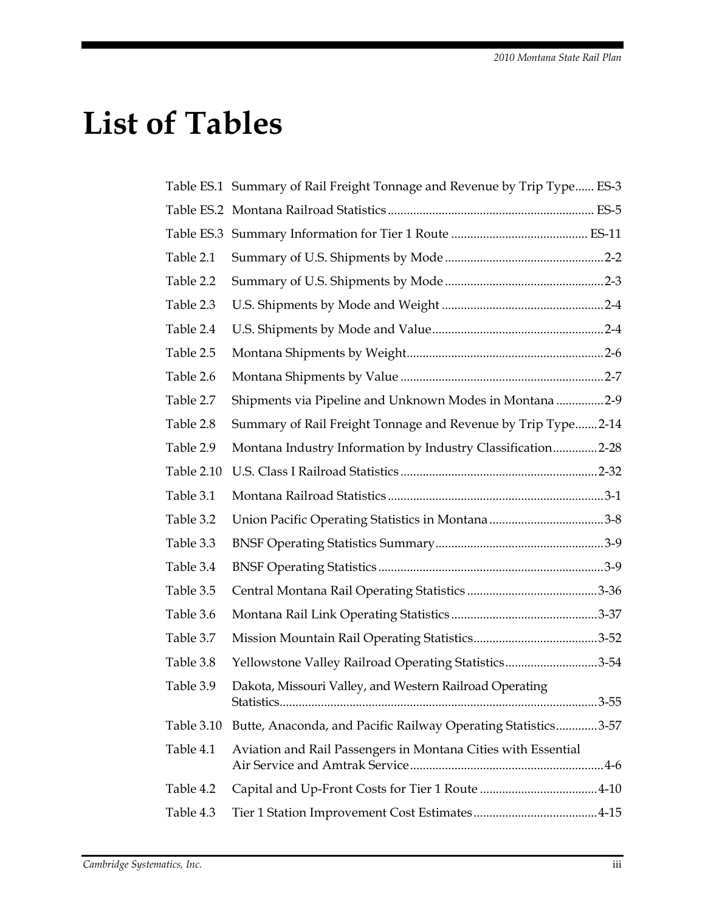## **List of Tables**

| Table ES.1 Summary of Rail Freight Tonnage and Revenue by Trip Type ES-3 |
|--------------------------------------------------------------------------|
|                                                                          |
|                                                                          |
|                                                                          |
|                                                                          |
|                                                                          |
|                                                                          |
|                                                                          |
|                                                                          |
| Shipments via Pipeline and Unknown Modes in Montana 2-9                  |
| Summary of Rail Freight Tonnage and Revenue by Trip Type2-14             |
| Montana Industry Information by Industry Classification2-28              |
|                                                                          |
|                                                                          |
|                                                                          |
|                                                                          |
|                                                                          |
|                                                                          |
|                                                                          |
|                                                                          |
| Yellowstone Valley Railroad Operating Statistics3-54                     |
| Dakota, Missouri Valley, and Western Railroad Operating                  |
| Butte, Anaconda, and Pacific Railway Operating Statistics3-57            |
| Aviation and Rail Passengers in Montana Cities with Essential            |
|                                                                          |
|                                                                          |
|                                                                          |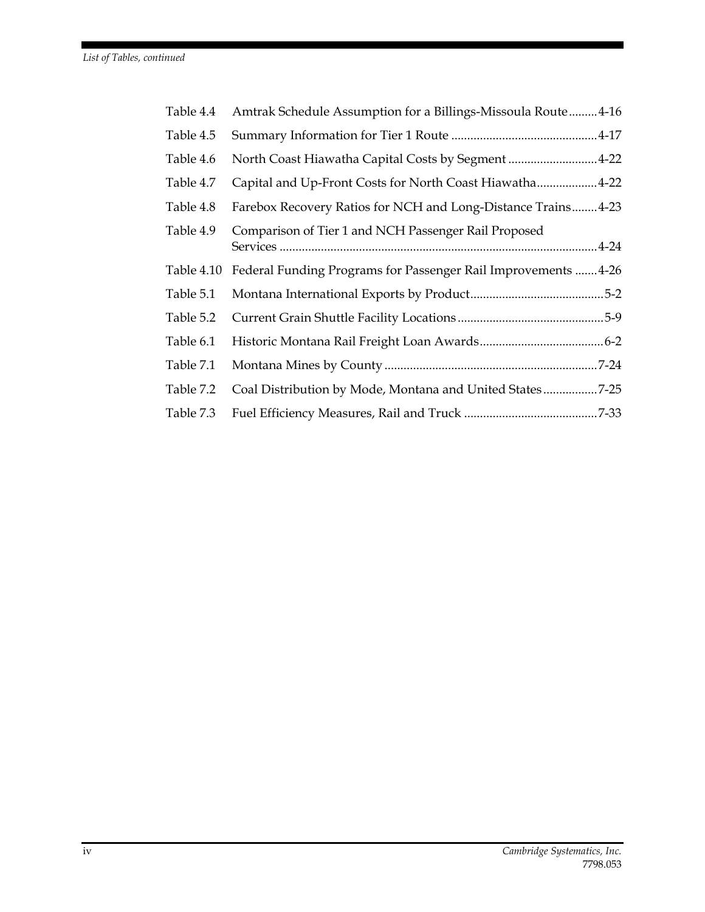| Table 4.4  | Amtrak Schedule Assumption for a Billings-Missoula Route4-16   |  |
|------------|----------------------------------------------------------------|--|
| Table 4.5  |                                                                |  |
| Table 4.6  | North Coast Hiawatha Capital Costs by Segment 4-22             |  |
| Table 4.7  | Capital and Up-Front Costs for North Coast Hiawatha4-22        |  |
| Table 4.8  | Farebox Recovery Ratios for NCH and Long-Distance Trains 4-23  |  |
| Table 4.9  | Comparison of Tier 1 and NCH Passenger Rail Proposed           |  |
| Table 4.10 | Federal Funding Programs for Passenger Rail Improvements  4-26 |  |
| Table 5.1  |                                                                |  |
| Table 5.2  |                                                                |  |
| Table 6.1  |                                                                |  |
| Table 7.1  |                                                                |  |
| Table 7.2  | Coal Distribution by Mode, Montana and United States7-25       |  |
| Table 7.3  |                                                                |  |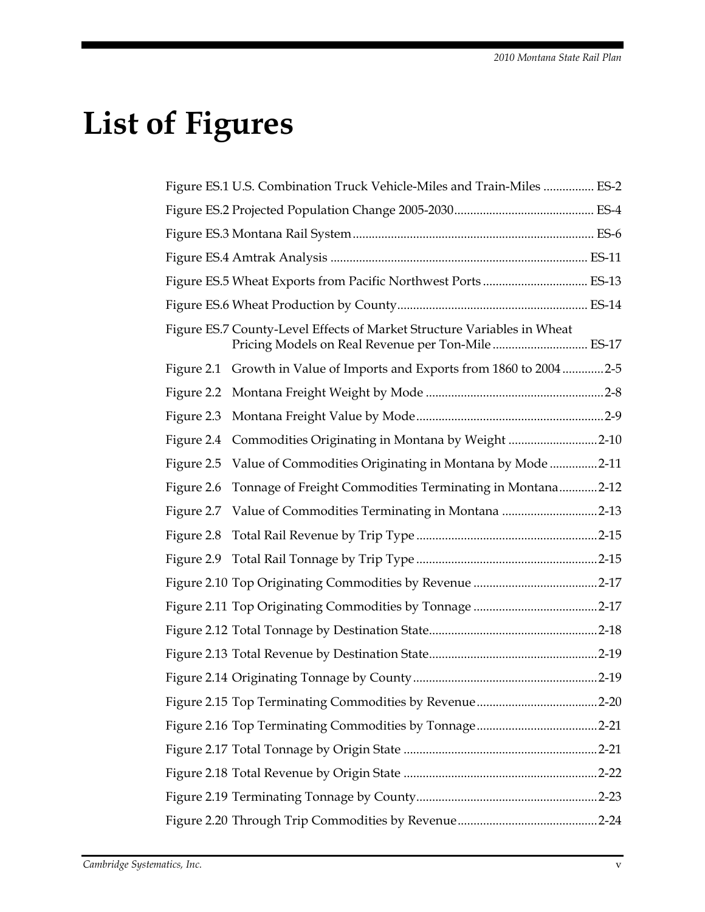## **List of Figures**

|            | Figure ES.1 U.S. Combination Truck Vehicle-Miles and Train-Miles  ES-2  |  |
|------------|-------------------------------------------------------------------------|--|
|            |                                                                         |  |
|            |                                                                         |  |
|            |                                                                         |  |
|            |                                                                         |  |
|            |                                                                         |  |
|            | Figure ES.7 County-Level Effects of Market Structure Variables in Wheat |  |
|            | Figure 2.1 Growth in Value of Imports and Exports from 1860 to 20042-5  |  |
|            |                                                                         |  |
|            |                                                                         |  |
|            | Figure 2.4 Commodities Originating in Montana by Weight 2-10            |  |
|            | Figure 2.5 Value of Commodities Originating in Montana by Mode 2-11     |  |
| Figure 2.6 | Tonnage of Freight Commodities Terminating in Montana2-12               |  |
|            |                                                                         |  |
|            |                                                                         |  |
|            |                                                                         |  |
|            |                                                                         |  |
|            |                                                                         |  |
|            |                                                                         |  |
|            |                                                                         |  |
|            |                                                                         |  |
|            |                                                                         |  |
|            |                                                                         |  |
|            |                                                                         |  |
|            |                                                                         |  |
|            |                                                                         |  |
|            |                                                                         |  |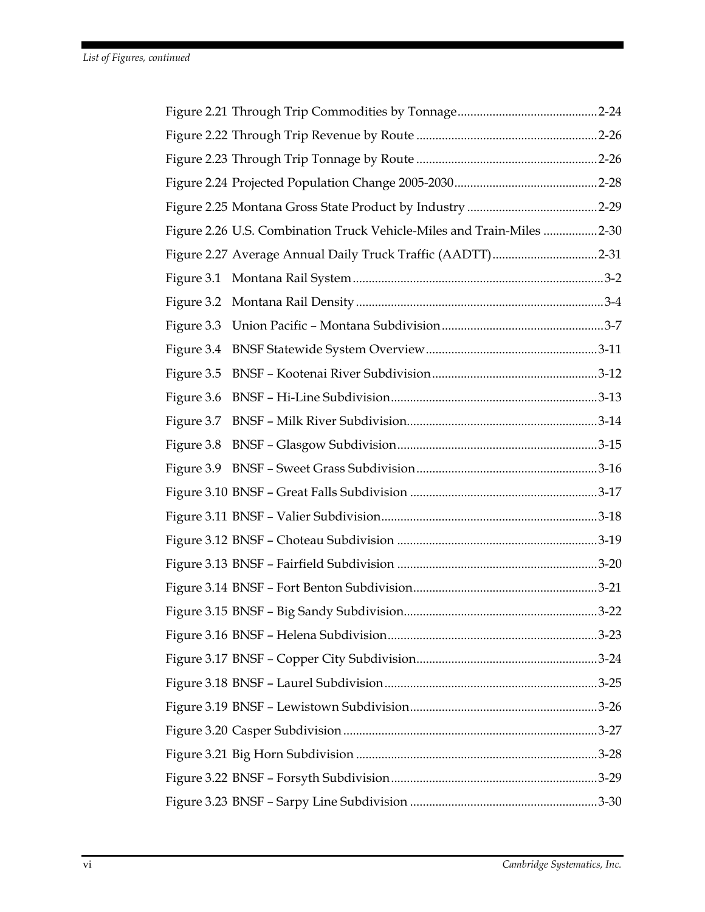| Figure 2.26 U.S. Combination Truck Vehicle-Miles and Train-Miles 2-30 |  |
|-----------------------------------------------------------------------|--|
|                                                                       |  |
|                                                                       |  |
|                                                                       |  |
|                                                                       |  |
|                                                                       |  |
|                                                                       |  |
|                                                                       |  |
| Figure 3.7                                                            |  |
|                                                                       |  |
|                                                                       |  |
|                                                                       |  |
|                                                                       |  |
|                                                                       |  |
|                                                                       |  |
|                                                                       |  |
|                                                                       |  |
|                                                                       |  |
|                                                                       |  |
|                                                                       |  |
|                                                                       |  |
|                                                                       |  |
|                                                                       |  |
|                                                                       |  |
|                                                                       |  |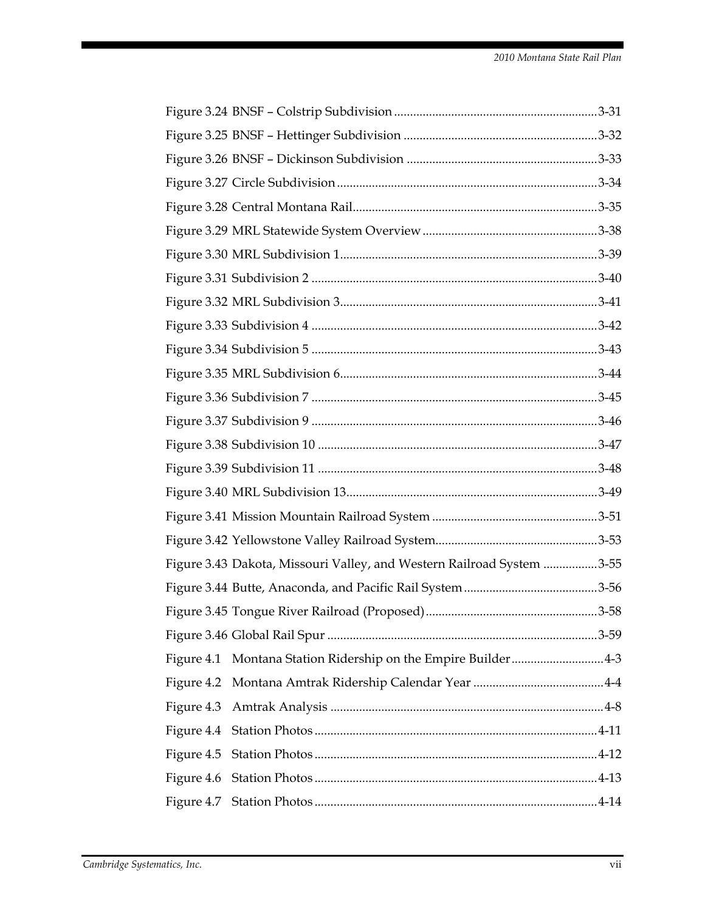| Figure 3.43 Dakota, Missouri Valley, and Western Railroad System 3-55 |  |
|-----------------------------------------------------------------------|--|
|                                                                       |  |
|                                                                       |  |
|                                                                       |  |
|                                                                       |  |
|                                                                       |  |
| Figure 4.3                                                            |  |
|                                                                       |  |
| Figure 4.5                                                            |  |
|                                                                       |  |
|                                                                       |  |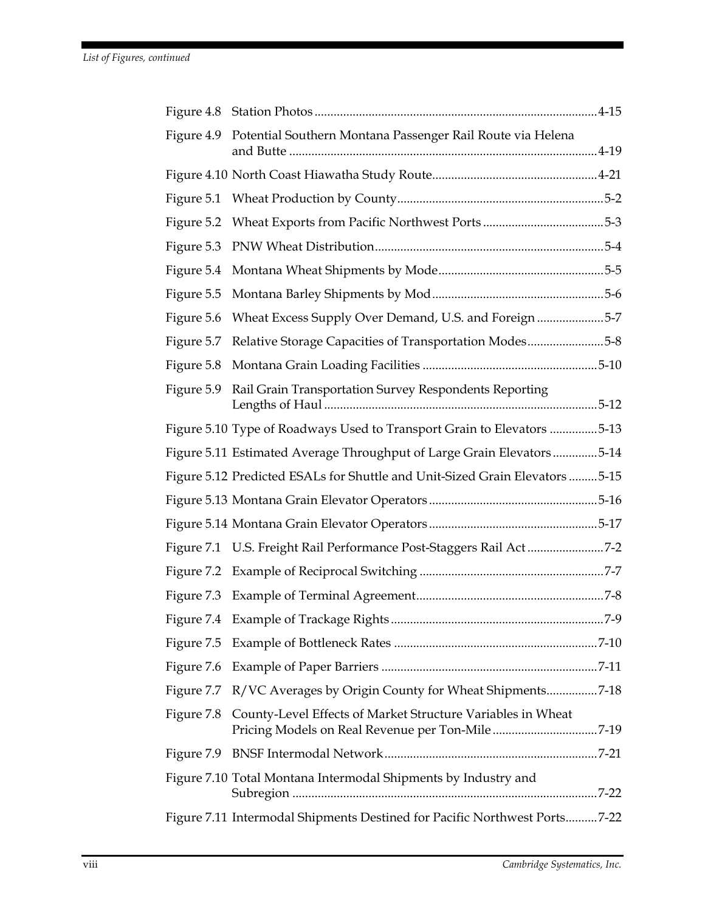|            | Figure 4.9 Potential Southern Montana Passenger Rail Route via Helena                                                     |  |
|------------|---------------------------------------------------------------------------------------------------------------------------|--|
|            |                                                                                                                           |  |
|            |                                                                                                                           |  |
|            |                                                                                                                           |  |
|            |                                                                                                                           |  |
|            |                                                                                                                           |  |
|            |                                                                                                                           |  |
|            | Figure 5.6 Wheat Excess Supply Over Demand, U.S. and Foreign5-7                                                           |  |
|            | Figure 5.7 Relative Storage Capacities of Transportation Modes5-8                                                         |  |
|            |                                                                                                                           |  |
| Figure 5.9 | Rail Grain Transportation Survey Respondents Reporting                                                                    |  |
|            | Figure 5.10 Type of Roadways Used to Transport Grain to Elevators 5-13                                                    |  |
|            | Figure 5.11 Estimated Average Throughput of Large Grain Elevators5-14                                                     |  |
|            | Figure 5.12 Predicted ESALs for Shuttle and Unit-Sized Grain Elevators 5-15                                               |  |
|            |                                                                                                                           |  |
|            |                                                                                                                           |  |
|            | Figure 7.1 U.S. Freight Rail Performance Post-Staggers Rail Act7-2                                                        |  |
|            |                                                                                                                           |  |
|            |                                                                                                                           |  |
|            |                                                                                                                           |  |
|            |                                                                                                                           |  |
|            |                                                                                                                           |  |
|            | Figure 7.7 R/VC Averages by Origin County for Wheat Shipments7-18                                                         |  |
|            | Figure 7.8 County-Level Effects of Market Structure Variables in Wheat<br>Pricing Models on Real Revenue per Ton-Mile7-19 |  |
|            |                                                                                                                           |  |
|            | Figure 7.10 Total Montana Intermodal Shipments by Industry and                                                            |  |
|            | Figure 7.11 Intermodal Shipments Destined for Pacific Northwest Ports7-22                                                 |  |